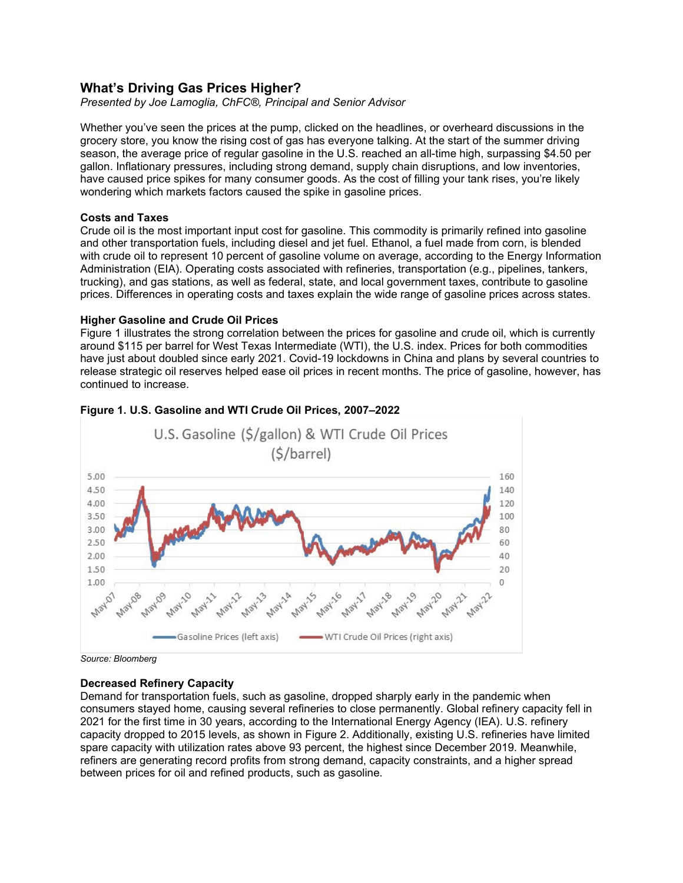# **What's Driving Gas Prices Higher?**

*Presented by Joe Lamoglia, ChFC®, Principal and Senior Advisor*

Whether you've seen the prices at the pump, clicked on the headlines, or overheard discussions in the grocery store, you know the rising cost of gas has everyone talking. At the start of the summer driving season, the average price of regular gasoline in the U.S. reached an all-time high, surpassing \$4.50 per gallon. Inflationary pressures, including strong demand, supply chain disruptions, and low inventories, have caused price spikes for many consumer goods. As the cost of filling your tank rises, you're likely wondering which markets factors caused the spike in gasoline prices.

### **Costs and Taxes**

Crude oil is the most important input cost for gasoline. This commodity is primarily refined into gasoline and other transportation fuels, including diesel and jet fuel. Ethanol, a fuel made from corn, is blended with crude oil to represent 10 percent of gasoline volume on average, according to the Energy Information Administration (EIA). Operating costs associated with refineries, transportation (e.g., pipelines, tankers, trucking), and gas stations, as well as federal, state, and local government taxes, contribute to gasoline prices. Differences in operating costs and taxes explain the wide range of gasoline prices across states.

### **Higher Gasoline and Crude Oil Prices**

Figure 1 illustrates the strong correlation between the prices for gasoline and crude oil, which is currently around \$115 per barrel for West Texas Intermediate (WTI), the U.S. index. Prices for both commodities have just about doubled since early 2021. Covid-19 lockdowns in China and plans by several countries to release strategic oil reserves helped ease oil prices in recent months. The price of gasoline, however, has continued to increase.



## **Figure 1. U.S. Gasoline and WTI Crude Oil Prices, 2007–2022**

*Source: Bloomberg*

### **Decreased Refinery Capacity**

Demand for transportation fuels, such as gasoline, dropped sharply early in the pandemic when consumers stayed home, causing several refineries to close permanently. Global refinery capacity fell in 2021 for the first time in 30 years, according to the International Energy Agency (IEA). U.S. refinery capacity dropped to 2015 levels, as shown in Figure 2. Additionally, existing U.S. refineries have limited spare capacity with utilization rates above 93 percent, the highest since December 2019. Meanwhile, refiners are generating record profits from strong demand, capacity constraints, and a higher spread between prices for oil and refined products, such as gasoline.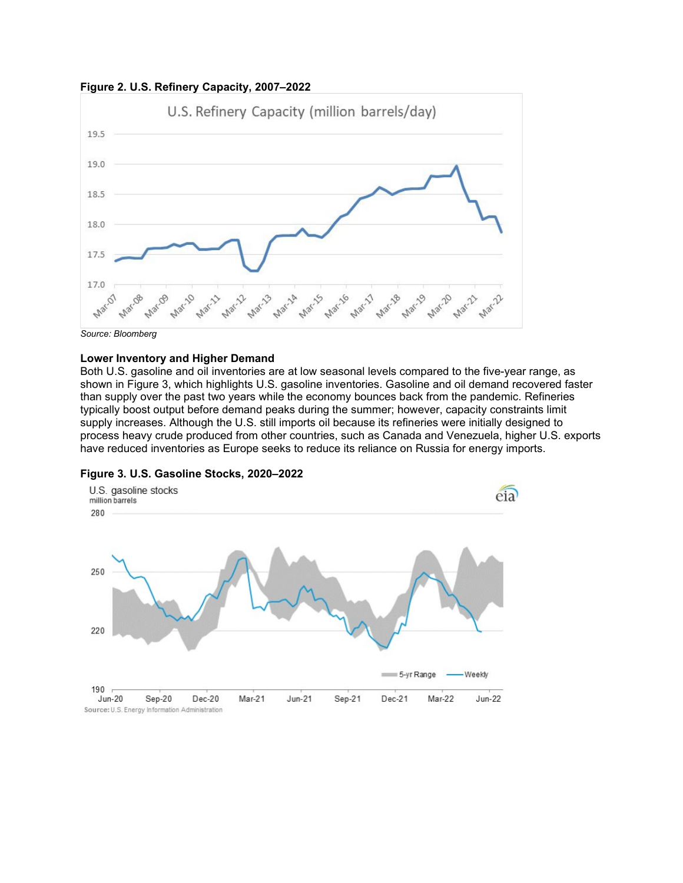



*Source: Bloomberg*

#### **Lower Inventory and Higher Demand**

Both U.S. gasoline and oil inventories are at low seasonal levels compared to the five-year range, as shown in Figure 3, which highlights U.S. gasoline inventories. Gasoline and oil demand recovered faster than supply over the past two years while the economy bounces back from the pandemic. Refineries typically boost output before demand peaks during the summer; however, capacity constraints limit supply increases. Although the U.S. still imports oil because its refineries were initially designed to process heavy crude produced from other countries, such as Canada and Venezuela, higher U.S. exports have reduced inventories as Europe seeks to reduce its reliance on Russia for energy imports.



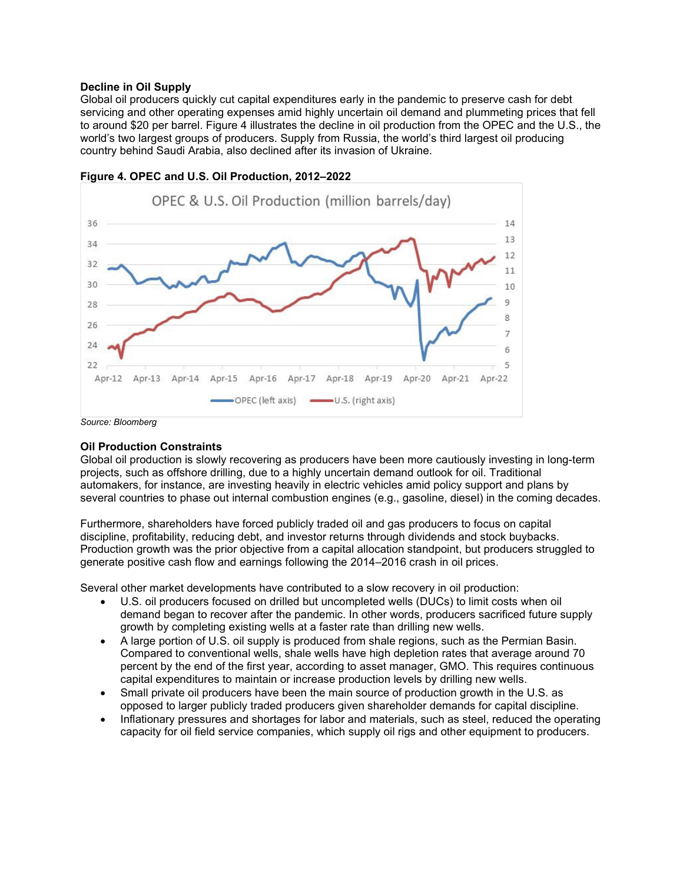### **Decline in Oil Supply**

Global oil producers quickly cut capital expenditures early in the pandemic to preserve cash for debt servicing and other operating expenses amid highly uncertain oil demand and plummeting prices that fell to around \$20 per barrel. Figure 4 illustrates the decline in oil production from the OPEC and the U.S., the world's two largest groups of producers. Supply from Russia, the world's third largest oil producing country behind Saudi Arabia, also declined after its invasion of Ukraine.



**Figure 4. OPEC and U.S. Oil Production, 2012–2022**

*Source: Bloomberg*

# **Oil Production Constraints**

Global oil production is slowly recovering as producers have been more cautiously investing in long-term projects, such as offshore drilling, due to a highly uncertain demand outlook for oil. Traditional automakers, for instance, are investing heavily in electric vehicles amid policy support and plans by several countries to phase out internal combustion engines (e.g., gasoline, diesel) in the coming decades.

Furthermore, shareholders have forced publicly traded oil and gas producers to focus on capital discipline, profitability, reducing debt, and investor returns through dividends and stock buybacks. Production growth was the prior objective from a capital allocation standpoint, but producers struggled to generate positive cash flow and earnings following the 2014–2016 crash in oil prices.

Several other market developments have contributed to a slow recovery in oil production:

- U.S. oil producers focused on drilled but uncompleted wells (DUCs) to limit costs when oil demand began to recover after the pandemic. In other words, producers sacrificed future supply growth by completing existing wells at a faster rate than drilling new wells.
- A large portion of U.S. oil supply is produced from shale regions, such as the Permian Basin. Compared to conventional wells, shale wells have high depletion rates that average around 70 percent by the end of the first year, according to asset manager, GMO. This requires continuous capital expenditures to maintain or increase production levels by drilling new wells.
- Small private oil producers have been the main source of production growth in the U.S. as opposed to larger publicly traded producers given shareholder demands for capital discipline.
- Inflationary pressures and shortages for labor and materials, such as steel, reduced the operating capacity for oil field service companies, which supply oil rigs and other equipment to producers.